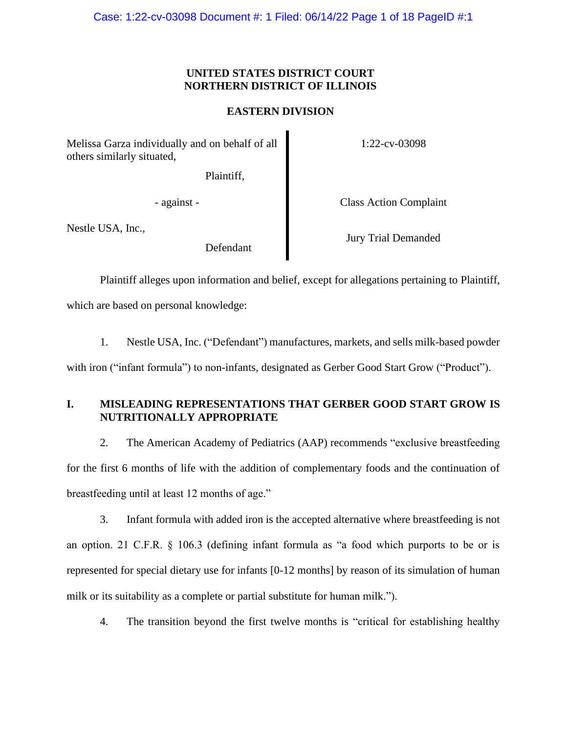Case: 1:22-cv-03098 Document #: 1 Filed: 06/14/22 Page 1 of 18 PageID #:1

# **UNITED STATES DISTRICT COURT NORTHERN DISTRICT OF ILLINOIS**

# **EASTERN DIVISION**

Melissa Garza individually and on behalf of all others similarly situated,

Plaintiff,

Nestle USA, Inc.,

Defendant

1:22-cv-03098

- against - Class Action Complaint

Jury Trial Demanded

Plaintiff alleges upon information and belief, except for allegations pertaining to Plaintiff, which are based on personal knowledge:

1. Nestle USA, Inc. ("Defendant") manufactures, markets, and sells milk-based powder

with iron ("infant formula") to non-infants, designated as Gerber Good Start Grow ("Product").

# **I. MISLEADING REPRESENTATIONS THAT GERBER GOOD START GROW IS NUTRITIONALLY APPROPRIATE**

2. The American Academy of Pediatrics (AAP) recommends "exclusive breastfeeding for the first 6 months of life with the addition of complementary foods and the continuation of breastfeeding until at least 12 months of age."

3. Infant formula with added iron is the accepted alternative where breastfeeding is not an option. 21 C.F.R. § 106.3 (defining infant formula as "a food which purports to be or is represented for special dietary use for infants [0-12 months] by reason of its simulation of human milk or its suitability as a complete or partial substitute for human milk.").

4. The transition beyond the first twelve months is "critical for establishing healthy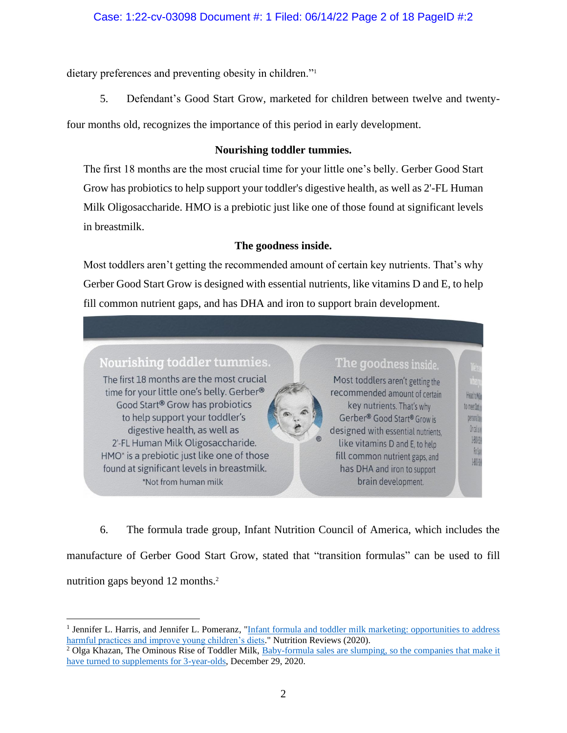dietary preferences and preventing obesity in children."<sup>1</sup>

5. Defendant's Good Start Grow, marketed for children between twelve and twenty-

four months old, recognizes the importance of this period in early development.

# **Nourishing toddler tummies.**

The first 18 months are the most crucial time for your little one's belly. Gerber Good Start Grow has probiotics to help support your toddler's digestive health, as well as 2'-FL Human Milk Oligosaccharide. HMO is a prebiotic just like one of those found at significant levels in breastmilk.

# **The goodness inside.**

Most toddlers aren't getting the recommended amount of certain key nutrients. That's why Gerber Good Start Grow is designed with essential nutrients, like vitamins D and E, to help fill common nutrient gaps, and has DHA and iron to support brain development.

# Nourishing toddler tummies.

The first 18 months are the most crucial time for your little one's belly. Gerber® Good Start® Grow has probiotics to help support your toddler's digestive health, as well as 2'-FL Human Milk Oligosaccharide. HMO\* is a prebiotic just like one of those found at significant levels in breastmilk. \*Not from human milk

# The goodness inside.

Most toddlers aren't getting the recommended amount of certain key nutrients. That's why Gerber® Good Start® Grow is designed with essential nutrients. like vitamins D and E, to help fill common nutrient gaps, and has DHA and iron to support brain development.

Head to Myn

to meet Datin

personalbay Orcalism

1-800-316

Folso

1-80090

6. The formula trade group, Infant Nutrition Council of America, which includes the manufacture of Gerber Good Start Grow, stated that "transition formulas" can be used to fill nutrition gaps beyond 12 months.<sup>2</sup>

<sup>&</sup>lt;sup>1</sup> Jennifer L. Harris, and Jennifer L. Pomeranz, "Infant formula and toddler milk marketing: opportunities to address harmful practices and improve young children's diets." Nutrition Reviews (2020).

<sup>&</sup>lt;sup>2</sup> Olga Khazan, The Ominous Rise of Toddler Milk, Baby-formula sales are slumping, so the companies that make it have turned to supplements for 3-year-olds, December 29, 2020.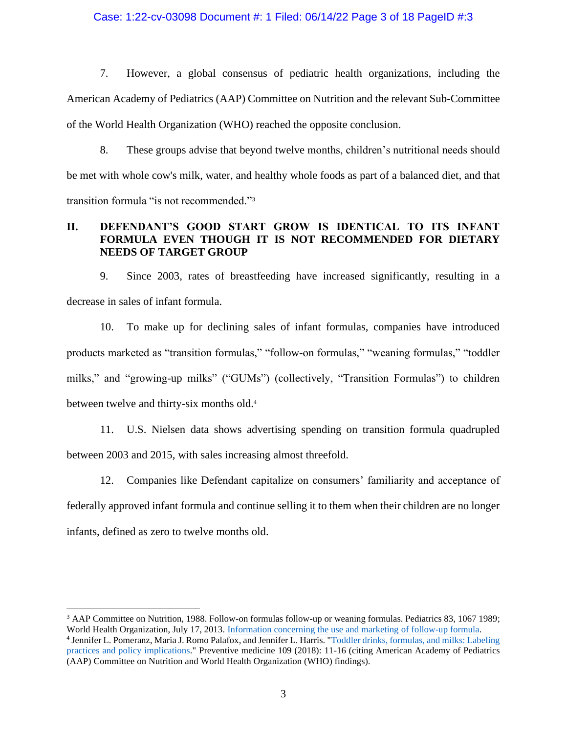#### Case: 1:22-cv-03098 Document #: 1 Filed: 06/14/22 Page 3 of 18 PageID #:3

7. However, a global consensus of pediatric health organizations, including the American Academy of Pediatrics (AAP) Committee on Nutrition and the relevant Sub-Committee of the World Health Organization (WHO) reached the opposite conclusion.

8. These groups advise that beyond twelve months, children's nutritional needs should be met with whole cow's milk, water, and healthy whole foods as part of a balanced diet, and that transition formula "is not recommended."<sup>3</sup>

# **II. DEFENDANT'S GOOD START GROW IS IDENTICAL TO ITS INFANT FORMULA EVEN THOUGH IT IS NOT RECOMMENDED FOR DIETARY NEEDS OF TARGET GROUP**

9. Since 2003, rates of breastfeeding have increased significantly, resulting in a decrease in sales of infant formula.

10. To make up for declining sales of infant formulas, companies have introduced products marketed as "transition formulas," "follow-on formulas," "weaning formulas," "toddler milks," and "growing-up milks" ("GUMs") (collectively, "Transition Formulas") to children between twelve and thirty-six months old.<sup>4</sup>

11. U.S. Nielsen data shows advertising spending on transition formula quadrupled between 2003 and 2015, with sales increasing almost threefold.

12. Companies like Defendant capitalize on consumers' familiarity and acceptance of federally approved infant formula and continue selling it to them when their children are no longer infants, defined as zero to twelve months old.

<sup>3</sup> AAP Committee on Nutrition, 1988. Follow-on formulas follow-up or weaning formulas. Pediatrics 83, 1067 1989; World Health Organization, July 17, 2013. Information concerning the use and marketing of follow-up formula.

<sup>&</sup>lt;sup>4</sup> Jennifer L. Pomeranz, Maria J. Romo Palafox, and Jennifer L. Harris. "Toddler drinks, formulas, and milks: Labeling practices and policy implications." Preventive medicine 109 (2018): 11-16 (citing American Academy of Pediatrics (AAP) Committee on Nutrition and World Health Organization (WHO) findings).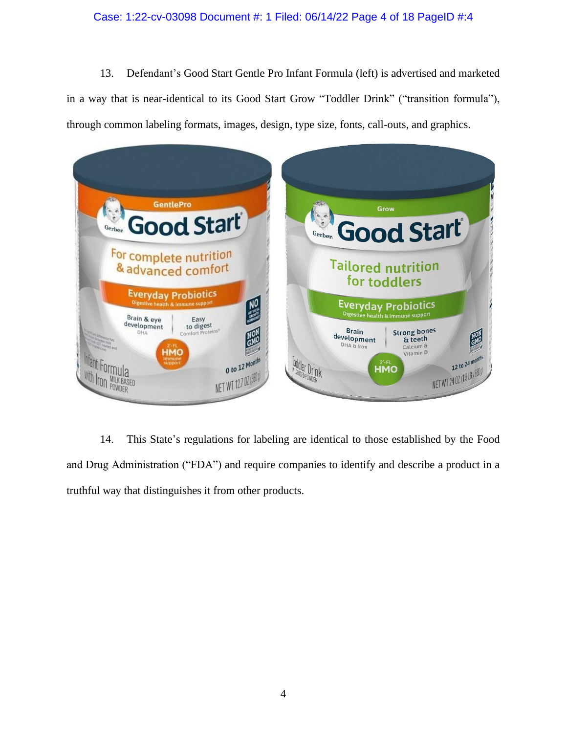#### Case: 1:22-cv-03098 Document #: 1 Filed: 06/14/22 Page 4 of 18 PageID #:4

13. Defendant's Good Start Gentle Pro Infant Formula (left) is advertised and marketed in a way that is near-identical to its Good Start Grow "Toddler Drink" ("transition formula"), through common labeling formats, images, design, type size, fonts, call-outs, and graphics.



14. This State's regulations for labeling are identical to those established by the Food and Drug Administration ("FDA") and require companies to identify and describe a product in a truthful way that distinguishes it from other products.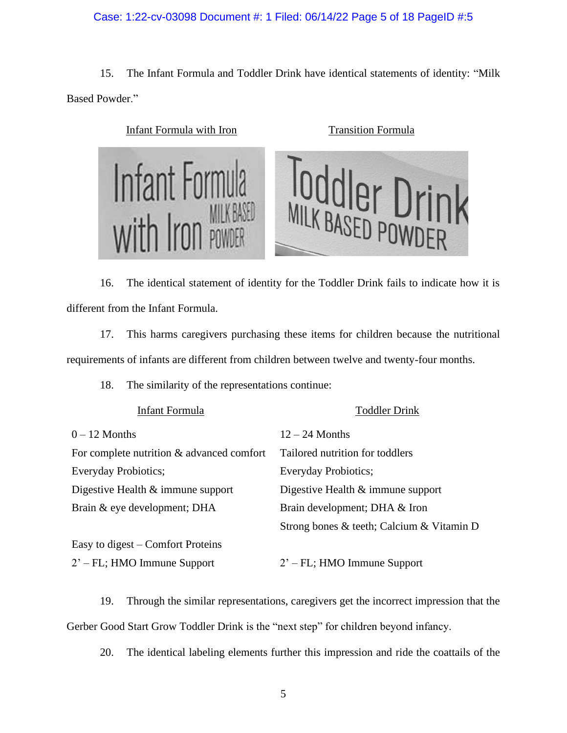## Case: 1:22-cv-03098 Document #: 1 Filed: 06/14/22 Page 5 of 18 PageID #:5

15. The Infant Formula and Toddler Drink have identical statements of identity: "Milk Based Powder."



16. The identical statement of identity for the Toddler Drink fails to indicate how it is different from the Infant Formula.

17. This harms caregivers purchasing these items for children because the nutritional requirements of infants are different from children between twelve and twenty-four months.

18. The similarity of the representations continue:

| Infant Formula                            | <b>Toddler Drink</b>                      |
|-------------------------------------------|-------------------------------------------|
| $0 - 12$ Months                           | $12 - 24$ Months                          |
| For complete nutrition & advanced comfort | Tailored nutrition for toddlers           |
| Everyday Probiotics;                      | Everyday Probiotics;                      |
| Digestive Health $\&$ immune support      | Digestive Health $&$ immune support       |
| Brain & eye development; DHA              | Brain development; DHA & Iron             |
|                                           | Strong bones & teeth; Calcium & Vitamin D |
| Easy to digest – Comfort Proteins         |                                           |
| $2'$ – FL; HMO Immune Support             | $2'$ – FL; HMO Immune Support             |

19. Through the similar representations, caregivers get the incorrect impression that the Gerber Good Start Grow Toddler Drink is the "next step" for children beyond infancy.

20. The identical labeling elements further this impression and ride the coattails of the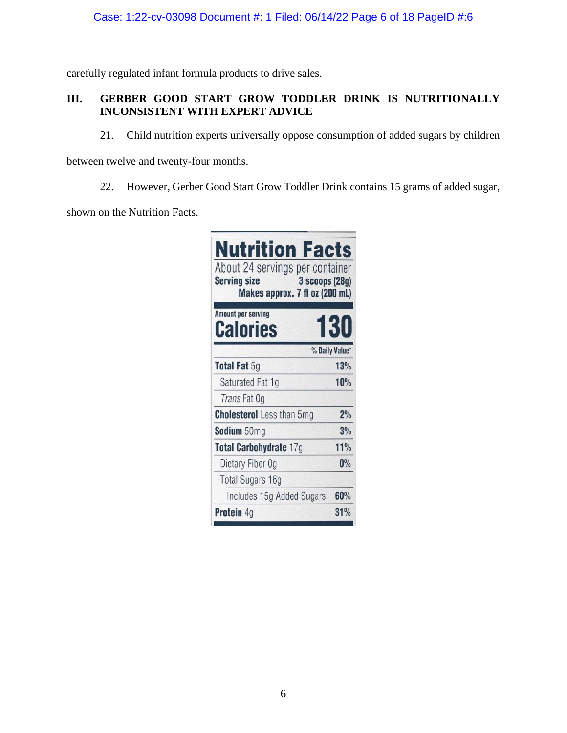carefully regulated infant formula products to drive sales.

# **III. GERBER GOOD START GROW TODDLER DRINK IS NUTRITIONALLY INCONSISTENT WITH EXPERT ADVICE**

21. Child nutrition experts universally oppose consumption of added sugars by children

between twelve and twenty-four months.

22. However, Gerber Good Start Grow Toddler Drink contains 15 grams of added sugar,

shown on the Nutrition Facts.

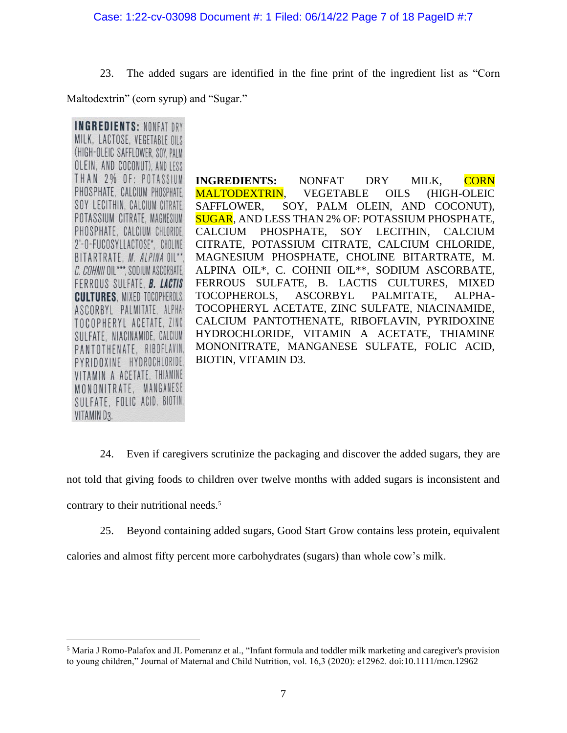23. The added sugars are identified in the fine print of the ingredient list as "Corn

Maltodextrin" (corn syrup) and "Sugar."

**INGREDIENTS: NONFAT DRY** MILK, LACTOSE, VEGETABLE OILS (HIGH-OLEIC SAFFLOWER, SOY, PALM OLEIN, AND COCONUT), AND LESS THAN 2% OF: POTASSIUM PHOSPHATE, CALCIUM PHOSPHATE. SOY LECITHIN, CALCIUM CITRATE. POTASSIUM CITRATE, MAGNESIUM PHOSPHATE, CALCIUM CHLORIDE. 2'-O-FUCOSYLLACTOSE\*, CHOLINE BITARTRATE, M. ALPINA OIL\*\*, C. COHNII OIL \*\*\*. SODIUM ASCORBATE. FERROUS SULFATE, B. LACTIS **CULTURES. MIXED TOCOPHEROLS.** ASCORBYL PALMITATE, ALPHA-TOCOPHERYL ACETATE, ZINC SULFATE, NIACINAMIDE, CALCIUM PANTOTHENATE, RIBOFLAVIN, PYRIDOXINE HYDROCHLORIDE, VITAMIN A ACETATE, THIAMINE MONONITRATE, MANGANESE SULFATE, FOLIC ACID, BIOTIN, VITAMIN D3.

**INGREDIENTS:** NONFAT DRY MILK, CORN MALTODEXTRIN, VEGETABLE OILS (HIGH-OLEIC SAFFLOWER, SOY, PALM OLEIN, AND COCONUT), SUGAR, AND LESS THAN 2% OF: POTASSIUM PHOSPHATE, CALCIUM PHOSPHATE, SOY LECITHIN, CALCIUM CITRATE, POTASSIUM CITRATE, CALCIUM CHLORIDE, MAGNESIUM PHOSPHATE, CHOLINE BITARTRATE, M. ALPINA OIL\*, C. COHNII OIL\*\*, SODIUM ASCORBATE, FERROUS SULFATE, B. LACTIS CULTURES, MIXED TOCOPHEROLS, ASCORBYL PALMITATE, ALPHA-TOCOPHERYL ACETATE, ZINC SULFATE, NIACINAMIDE, CALCIUM PANTOTHENATE, RIBOFLAVIN, PYRIDOXINE HYDROCHLORIDE, VITAMIN A ACETATE, THIAMINE MONONITRATE, MANGANESE SULFATE, FOLIC ACID, BIOTIN, VITAMIN D3.

24. Even if caregivers scrutinize the packaging and discover the added sugars, they are not told that giving foods to children over twelve months with added sugars is inconsistent and contrary to their nutritional needs.<sup>5</sup>

25. Beyond containing added sugars, Good Start Grow contains less protein, equivalent

calories and almost fifty percent more carbohydrates (sugars) than whole cow's milk.

<sup>5</sup> Maria J Romo-Palafox and JL Pomeranz et al., "Infant formula and toddler milk marketing and caregiver's provision to young children," Journal of Maternal and Child Nutrition, vol. 16,3 (2020): e12962. doi:10.1111/mcn.12962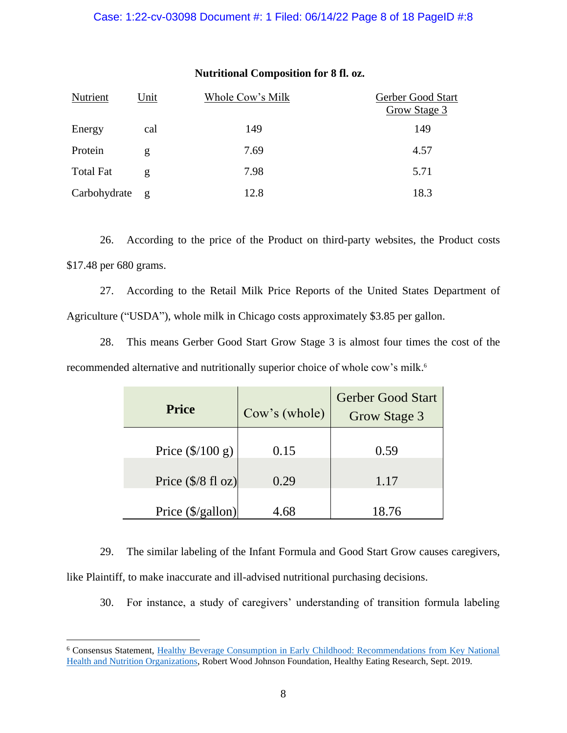#### Case: 1:22-cv-03098 Document #: 1 Filed: 06/14/22 Page 8 of 18 PageID #:8

**Nutritional Composition for 8 fl. oz.**

| Nutrient         | Unit | Whole Cow's Milk | Gerber Good Start<br>Grow Stage 3 |
|------------------|------|------------------|-----------------------------------|
| Energy           | cal  | 149              | 149                               |
| Protein          | g    | 7.69             | 4.57                              |
| <b>Total Fat</b> | g    | 7.98             | 5.71                              |
| Carbohydrate     | g    | 12.8             | 18.3                              |

26. According to the price of the Product on third-party websites, the Product costs \$17.48 per 680 grams.

27. According to the Retail Milk Price Reports of the United States Department of Agriculture ("USDA"), whole milk in Chicago costs approximately \$3.85 per gallon.

28. This means Gerber Good Start Grow Stage 3 is almost four times the cost of the recommended alternative and nutritionally superior choice of whole cow's milk. 6

| <b>Price</b>                                | Cow's (whole) | <b>Gerber Good Start</b><br><b>Grow Stage 3</b> |
|---------------------------------------------|---------------|-------------------------------------------------|
| Price $(\frac{\mathcal{S}}{100 \text{ g}})$ | 0.15          | 0.59                                            |
| Price $(\frac{5}{8}$ fl oz)                 | 0.29          | 1.17                                            |
| Price $(\frac{5}{g}$ allon)                 | 4.68          | 18.76                                           |

29. The similar labeling of the Infant Formula and Good Start Grow causes caregivers, like Plaintiff, to make inaccurate and ill-advised nutritional purchasing decisions.

30. For instance, a study of caregivers' understanding of transition formula labeling

<sup>6</sup> Consensus Statement, Healthy Beverage Consumption in Early Childhood: Recommendations from Key National Health and Nutrition Organizations, Robert Wood Johnson Foundation, Healthy Eating Research, Sept. 2019.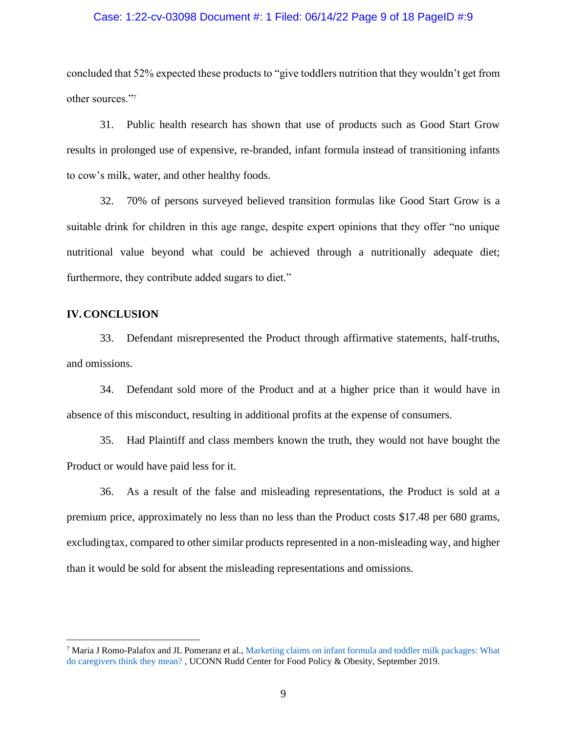#### Case: 1:22-cv-03098 Document #: 1 Filed: 06/14/22 Page 9 of 18 PageID #:9

concluded that 52% expected these products to "give toddlers nutrition that they wouldn't get from other sources."<sup>7</sup>

31. Public health research has shown that use of products such as Good Start Grow results in prolonged use of expensive, re-branded, infant formula instead of transitioning infants to cow's milk, water, and other healthy foods.

32. 70% of persons surveyed believed transition formulas like Good Start Grow is a suitable drink for children in this age range, despite expert opinions that they offer "no unique nutritional value beyond what could be achieved through a nutritionally adequate diet; furthermore, they contribute added sugars to diet."

#### **IV.CONCLUSION**

33. Defendant misrepresented the Product through affirmative statements, half-truths, and omissions.

34. Defendant sold more of the Product and at a higher price than it would have in absence of this misconduct, resulting in additional profits at the expense of consumers.

35. Had Plaintiff and class members known the truth, they would not have bought the Product or would have paid less for it.

36. As a result of the false and misleading representations, the Product is sold at a premium price, approximately no less than no less than the Product costs \$17.48 per 680 grams, excludingtax, compared to other similar products represented in a non-misleading way, and higher than it would be sold for absent the misleading representations and omissions.

<sup>7</sup> Maria J Romo-Palafox and JL Pomeranz et al., Marketing claims on infant formula and toddler milk packages: What do caregivers think they mean? , UCONN Rudd Center for Food Policy & Obesity, September 2019.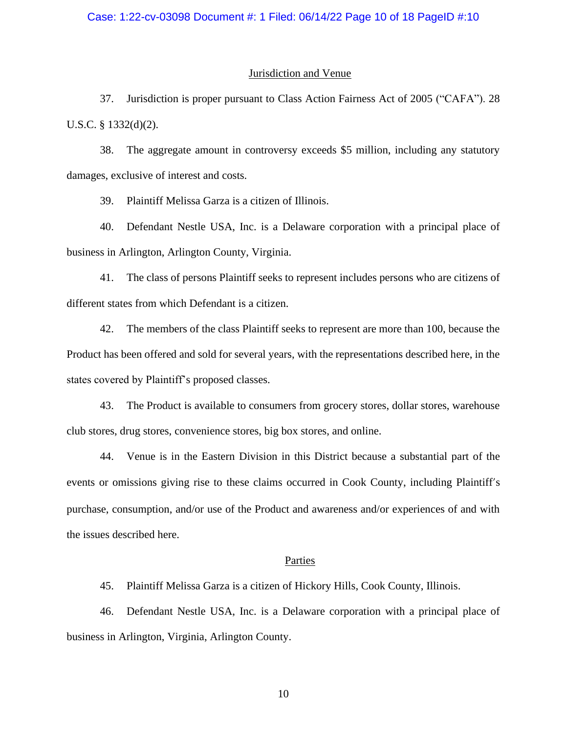#### Jurisdiction and Venue

37. Jurisdiction is proper pursuant to Class Action Fairness Act of 2005 ("CAFA"). 28 U.S.C. § 1332(d)(2).

38. The aggregate amount in controversy exceeds \$5 million, including any statutory damages, exclusive of interest and costs.

39. Plaintiff Melissa Garza is a citizen of Illinois.

40. Defendant Nestle USA, Inc. is a Delaware corporation with a principal place of business in Arlington, Arlington County, Virginia.

41. The class of persons Plaintiff seeks to represent includes persons who are citizens of different states from which Defendant is a citizen.

42. The members of the class Plaintiff seeks to represent are more than 100, because the Product has been offered and sold for several years, with the representations described here, in the states covered by Plaintiff's proposed classes.

43. The Product is available to consumers from grocery stores, dollar stores, warehouse club stores, drug stores, convenience stores, big box stores, and online.

44. Venue is in the Eastern Division in this District because a substantial part of the events or omissions giving rise to these claims occurred in Cook County, including Plaintiff's purchase, consumption, and/or use of the Product and awareness and/or experiences of and with the issues described here.

#### Parties

45. Plaintiff Melissa Garza is a citizen of Hickory Hills, Cook County, Illinois.

46. Defendant Nestle USA, Inc. is a Delaware corporation with a principal place of business in Arlington, Virginia, Arlington County.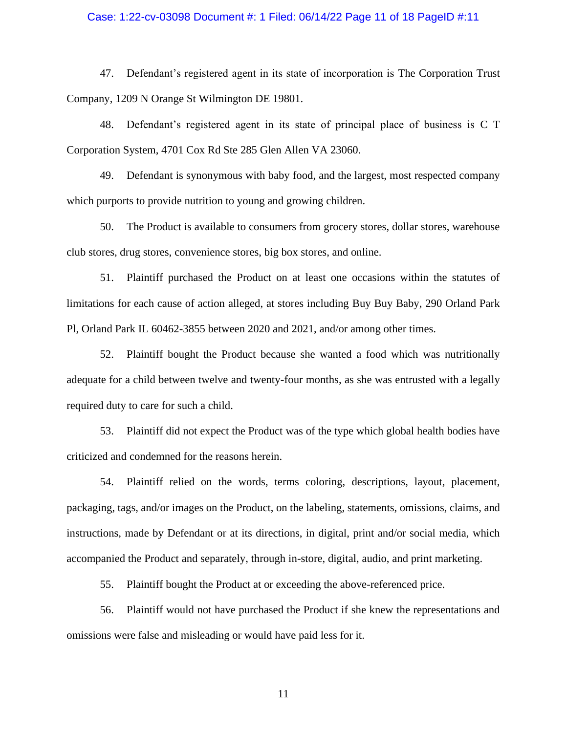#### Case: 1:22-cv-03098 Document #: 1 Filed: 06/14/22 Page 11 of 18 PageID #:11

47. Defendant's registered agent in its state of incorporation is The Corporation Trust Company, 1209 N Orange St Wilmington DE 19801.

48. Defendant's registered agent in its state of principal place of business is C T Corporation System, 4701 Cox Rd Ste 285 Glen Allen VA 23060.

49. Defendant is synonymous with baby food, and the largest, most respected company which purports to provide nutrition to young and growing children.

50. The Product is available to consumers from grocery stores, dollar stores, warehouse club stores, drug stores, convenience stores, big box stores, and online.

51. Plaintiff purchased the Product on at least one occasions within the statutes of limitations for each cause of action alleged, at stores including Buy Buy Baby, 290 Orland Park Pl, Orland Park IL 60462-3855 between 2020 and 2021, and/or among other times.

52. Plaintiff bought the Product because she wanted a food which was nutritionally adequate for a child between twelve and twenty-four months, as she was entrusted with a legally required duty to care for such a child.

53. Plaintiff did not expect the Product was of the type which global health bodies have criticized and condemned for the reasons herein.

54. Plaintiff relied on the words, terms coloring, descriptions, layout, placement, packaging, tags, and/or images on the Product, on the labeling, statements, omissions, claims, and instructions, made by Defendant or at its directions, in digital, print and/or social media, which accompanied the Product and separately, through in-store, digital, audio, and print marketing.

55. Plaintiff bought the Product at or exceeding the above-referenced price.

56. Plaintiff would not have purchased the Product if she knew the representations and omissions were false and misleading or would have paid less for it.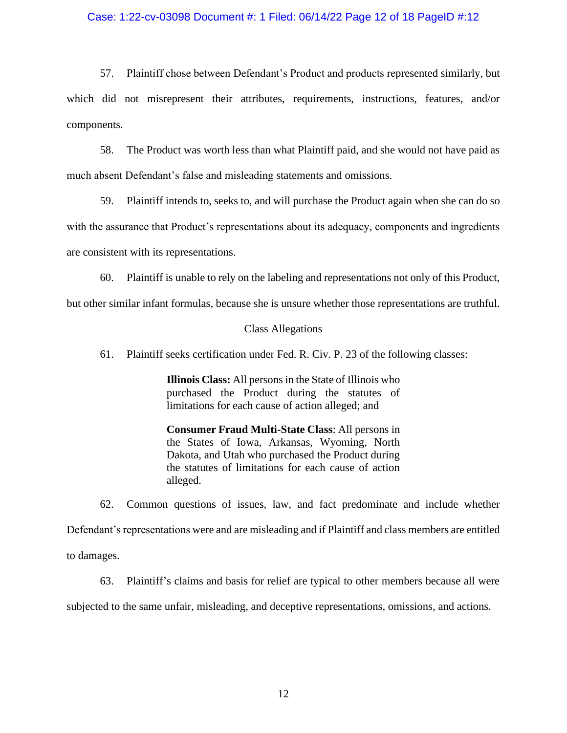#### Case: 1:22-cv-03098 Document #: 1 Filed: 06/14/22 Page 12 of 18 PageID #:12

57. Plaintiff chose between Defendant's Product and products represented similarly, but which did not misrepresent their attributes, requirements, instructions, features, and/or components.

58. The Product was worth less than what Plaintiff paid, and she would not have paid as much absent Defendant's false and misleading statements and omissions.

59. Plaintiff intends to, seeks to, and will purchase the Product again when she can do so

with the assurance that Product's representations about its adequacy, components and ingredients are consistent with its representations.

60. Plaintiff is unable to rely on the labeling and representations not only of this Product,

but other similar infant formulas, because she is unsure whether those representations are truthful.

#### Class Allegations

61. Plaintiff seeks certification under Fed. R. Civ. P. 23 of the following classes:

**Illinois Class:** All persons in the State of Illinois who purchased the Product during the statutes of limitations for each cause of action alleged; and

**Consumer Fraud Multi-State Class**: All persons in the States of Iowa, Arkansas, Wyoming, North Dakota, and Utah who purchased the Product during the statutes of limitations for each cause of action alleged.

62. Common questions of issues, law, and fact predominate and include whether Defendant's representations were and are misleading and if Plaintiff and class members are entitled to damages.

63. Plaintiff's claims and basis for relief are typical to other members because all were subjected to the same unfair, misleading, and deceptive representations, omissions, and actions.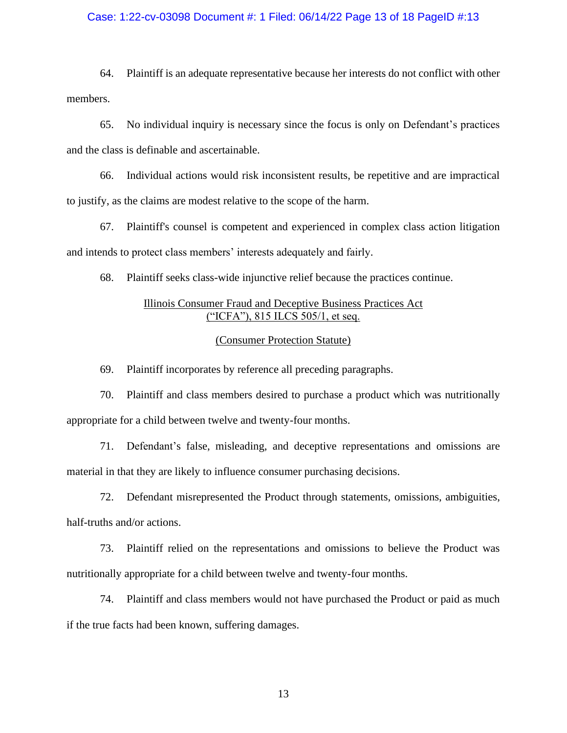#### Case: 1:22-cv-03098 Document #: 1 Filed: 06/14/22 Page 13 of 18 PageID #:13

64. Plaintiff is an adequate representative because her interests do not conflict with other members.

65. No individual inquiry is necessary since the focus is only on Defendant's practices and the class is definable and ascertainable.

66. Individual actions would risk inconsistent results, be repetitive and are impractical to justify, as the claims are modest relative to the scope of the harm.

67. Plaintiff's counsel is competent and experienced in complex class action litigation and intends to protect class members' interests adequately and fairly.

68. Plaintiff seeks class-wide injunctive relief because the practices continue.

# Illinois Consumer Fraud and Deceptive Business Practices Act ("ICFA"), 815 ILCS 505/1, et seq.

#### (Consumer Protection Statute)

69. Plaintiff incorporates by reference all preceding paragraphs.

70. Plaintiff and class members desired to purchase a product which was nutritionally appropriate for a child between twelve and twenty-four months.

71. Defendant's false, misleading, and deceptive representations and omissions are material in that they are likely to influence consumer purchasing decisions.

72. Defendant misrepresented the Product through statements, omissions, ambiguities, half-truths and/or actions.

73. Plaintiff relied on the representations and omissions to believe the Product was nutritionally appropriate for a child between twelve and twenty-four months.

74. Plaintiff and class members would not have purchased the Product or paid as much if the true facts had been known, suffering damages.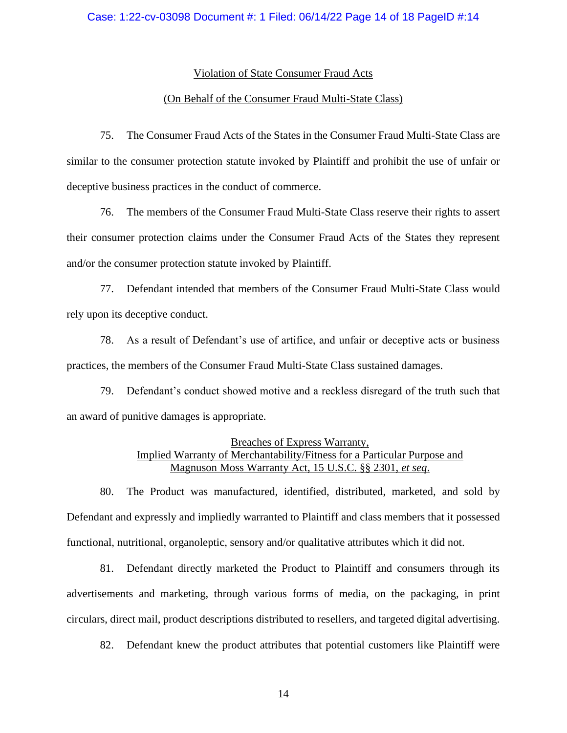#### Violation of State Consumer Fraud Acts

#### (On Behalf of the Consumer Fraud Multi-State Class)

75. The Consumer Fraud Acts of the States in the Consumer Fraud Multi-State Class are similar to the consumer protection statute invoked by Plaintiff and prohibit the use of unfair or deceptive business practices in the conduct of commerce.

76. The members of the Consumer Fraud Multi-State Class reserve their rights to assert their consumer protection claims under the Consumer Fraud Acts of the States they represent and/or the consumer protection statute invoked by Plaintiff.

77. Defendant intended that members of the Consumer Fraud Multi-State Class would rely upon its deceptive conduct.

78. As a result of Defendant's use of artifice, and unfair or deceptive acts or business practices, the members of the Consumer Fraud Multi-State Class sustained damages.

79. Defendant's conduct showed motive and a reckless disregard of the truth such that an award of punitive damages is appropriate.

# Breaches of Express Warranty, Implied Warranty of Merchantability/Fitness for a Particular Purpose and Magnuson Moss Warranty Act, 15 U.S.C. §§ 2301, *et seq*.

80. The Product was manufactured, identified, distributed, marketed, and sold by Defendant and expressly and impliedly warranted to Plaintiff and class members that it possessed functional, nutritional, organoleptic, sensory and/or qualitative attributes which it did not.

81. Defendant directly marketed the Product to Plaintiff and consumers through its advertisements and marketing, through various forms of media, on the packaging, in print circulars, direct mail, product descriptions distributed to resellers, and targeted digital advertising.

82. Defendant knew the product attributes that potential customers like Plaintiff were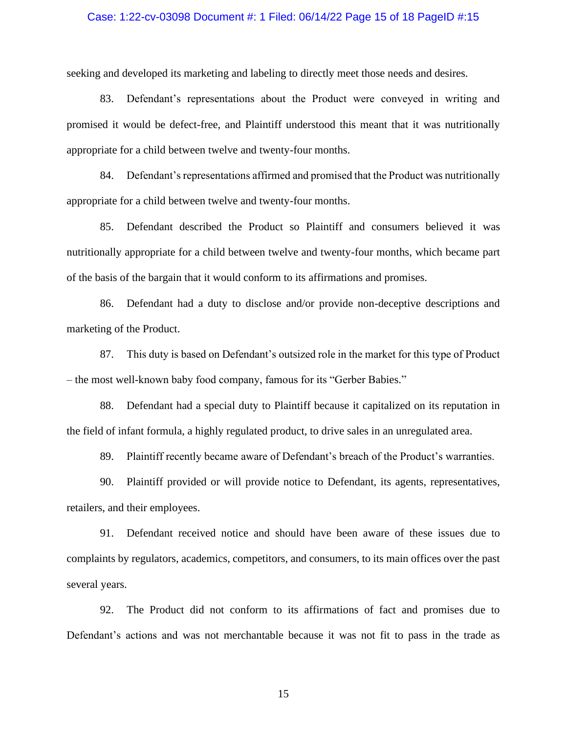#### Case: 1:22-cv-03098 Document #: 1 Filed: 06/14/22 Page 15 of 18 PageID #:15

seeking and developed its marketing and labeling to directly meet those needs and desires.

83. Defendant's representations about the Product were conveyed in writing and promised it would be defect-free, and Plaintiff understood this meant that it was nutritionally appropriate for a child between twelve and twenty-four months.

84. Defendant's representations affirmed and promised that the Product was nutritionally appropriate for a child between twelve and twenty-four months.

85. Defendant described the Product so Plaintiff and consumers believed it was nutritionally appropriate for a child between twelve and twenty-four months, which became part of the basis of the bargain that it would conform to its affirmations and promises.

86. Defendant had a duty to disclose and/or provide non-deceptive descriptions and marketing of the Product.

87. This duty is based on Defendant's outsized role in the market for this type of Product – the most well-known baby food company, famous for its "Gerber Babies."

88. Defendant had a special duty to Plaintiff because it capitalized on its reputation in the field of infant formula, a highly regulated product, to drive sales in an unregulated area.

89. Plaintiff recently became aware of Defendant's breach of the Product's warranties.

90. Plaintiff provided or will provide notice to Defendant, its agents, representatives, retailers, and their employees.

91. Defendant received notice and should have been aware of these issues due to complaints by regulators, academics, competitors, and consumers, to its main offices over the past several years.

92. The Product did not conform to its affirmations of fact and promises due to Defendant's actions and was not merchantable because it was not fit to pass in the trade as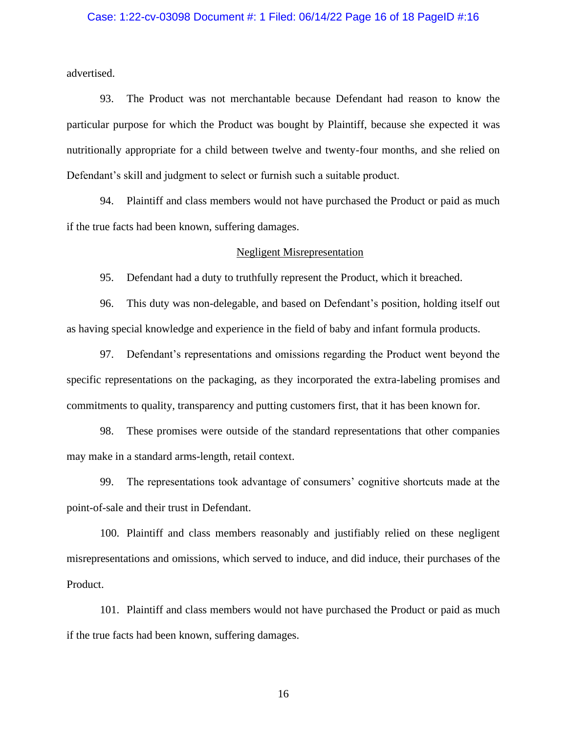#### Case: 1:22-cv-03098 Document #: 1 Filed: 06/14/22 Page 16 of 18 PageID #:16

advertised.

93. The Product was not merchantable because Defendant had reason to know the particular purpose for which the Product was bought by Plaintiff, because she expected it was nutritionally appropriate for a child between twelve and twenty-four months, and she relied on Defendant's skill and judgment to select or furnish such a suitable product.

94. Plaintiff and class members would not have purchased the Product or paid as much if the true facts had been known, suffering damages.

#### Negligent Misrepresentation

95. Defendant had a duty to truthfully represent the Product, which it breached.

96. This duty was non-delegable, and based on Defendant's position, holding itself out as having special knowledge and experience in the field of baby and infant formula products.

97. Defendant's representations and omissions regarding the Product went beyond the specific representations on the packaging, as they incorporated the extra-labeling promises and commitments to quality, transparency and putting customers first, that it has been known for.

98. These promises were outside of the standard representations that other companies may make in a standard arms-length, retail context.

99. The representations took advantage of consumers' cognitive shortcuts made at the point-of-sale and their trust in Defendant.

100. Plaintiff and class members reasonably and justifiably relied on these negligent misrepresentations and omissions, which served to induce, and did induce, their purchases of the Product.

101. Plaintiff and class members would not have purchased the Product or paid as much if the true facts had been known, suffering damages.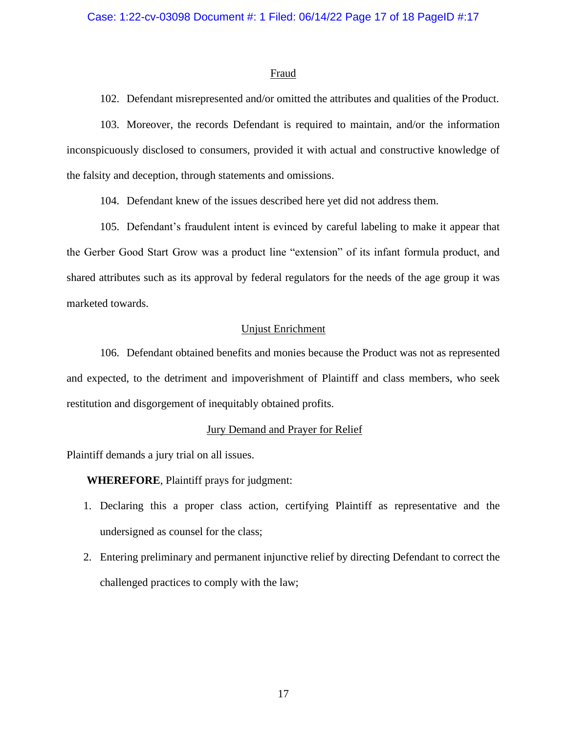#### **Fraud**

102. Defendant misrepresented and/or omitted the attributes and qualities of the Product.

103. Moreover, the records Defendant is required to maintain, and/or the information inconspicuously disclosed to consumers, provided it with actual and constructive knowledge of the falsity and deception, through statements and omissions.

104. Defendant knew of the issues described here yet did not address them.

105. Defendant's fraudulent intent is evinced by careful labeling to make it appear that the Gerber Good Start Grow was a product line "extension" of its infant formula product, and shared attributes such as its approval by federal regulators for the needs of the age group it was marketed towards.

# Unjust Enrichment

106. Defendant obtained benefits and monies because the Product was not as represented and expected, to the detriment and impoverishment of Plaintiff and class members, who seek restitution and disgorgement of inequitably obtained profits.

## Jury Demand and Prayer for Relief

Plaintiff demands a jury trial on all issues.

## **WHEREFORE**, Plaintiff prays for judgment:

- 1. Declaring this a proper class action, certifying Plaintiff as representative and the undersigned as counsel for the class;
- 2. Entering preliminary and permanent injunctive relief by directing Defendant to correct the challenged practices to comply with the law;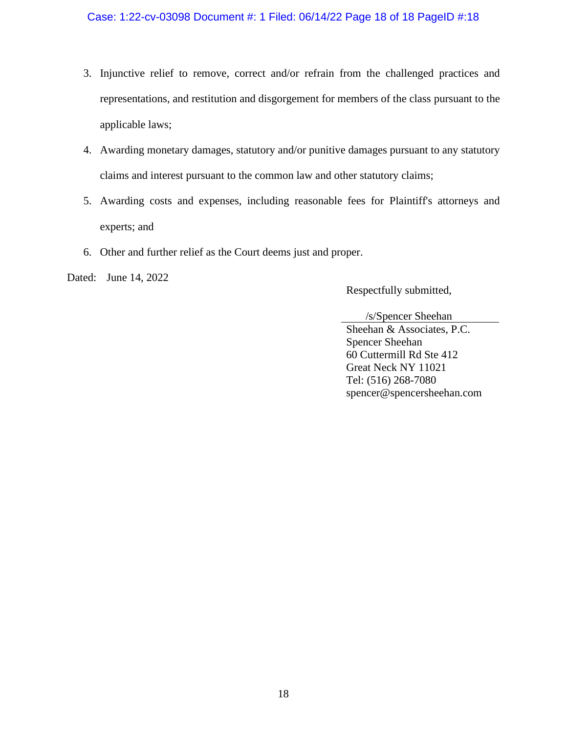- 3. Injunctive relief to remove, correct and/or refrain from the challenged practices and representations, and restitution and disgorgement for members of the class pursuant to the applicable laws;
- 4. Awarding monetary damages, statutory and/or punitive damages pursuant to any statutory claims and interest pursuant to the common law and other statutory claims;
- 5. Awarding costs and expenses, including reasonable fees for Plaintiff's attorneys and experts; and
- 6. Other and further relief as the Court deems just and proper.

Dated: June 14, 2022

Respectfully submitted,

 /s/Spencer Sheehan Sheehan & Associates, P.C. Spencer Sheehan 60 Cuttermill Rd Ste 412 Great Neck NY 11021 Tel: (516) 268-7080 spencer@spencersheehan.com